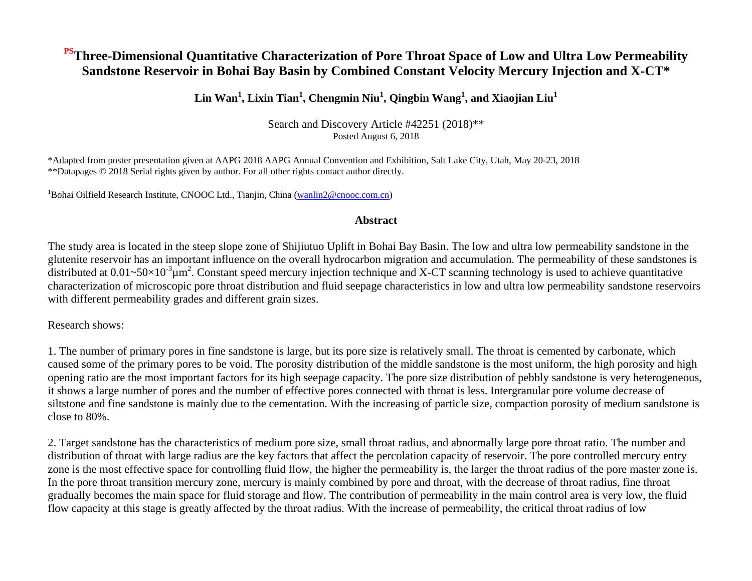## **PSThree-Dimensional Quantitative Characterization of Pore Throat Space of Low and Ultra Low Permeability Sandstone Reservoir in Bohai Bay Basin by Combined Constant Velocity Mercury Injection and X-CT\***

## **Lin Wan<sup>1</sup> , Lixin Tian<sup>1</sup> , Chengmin Niu<sup>1</sup> , Qingbin Wang<sup>1</sup> , and Xiaojian Liu<sup>1</sup>**

Search and Discovery Article #42251 (2018)\*\* Posted August 6, 2018

\*Adapted from poster presentation given at AAPG 2018 AAPG Annual Convention and Exhibition, Salt Lake City, Utah, May 20-23, 2018 \*\*Datapages © 2018 Serial rights given by author. For all other rights contact author directly.

<sup>1</sup>Bohai Oilfield Research Institute, CNOOC Ltd., Tianjin, China [\(wanlin2@cnooc.com.cn\)](mailto:wanlin2@cnooc.com.cn)

### **Abstract**

The study area is located in the steep slope zone of Shijiutuo Uplift in Bohai Bay Basin. The low and ultra low permeability sandstone in the glutenite reservoir has an important influence on the overall hydrocarbon migration and accumulation. The permeability of these sandstones is distributed at  $0.01 \sim 50 \times 10^{-3} \mu m^2$ . Constant speed mercury injection technique and X-CT scanning technology is used to achieve quantitative characterization of microscopic pore throat distribution and fluid seepage characteristics in low and ultra low permeability sandstone reservoirs with different permeability grades and different grain sizes.

Research shows:

1. The number of primary pores in fine sandstone is large, but its pore size is relatively small. The throat is cemented by carbonate, which caused some of the primary pores to be void. The porosity distribution of the middle sandstone is the most uniform, the high porosity and high opening ratio are the most important factors for its high seepage capacity. The pore size distribution of pebbly sandstone is very heterogeneous, it shows a large number of pores and the number of effective pores connected with throat is less. Intergranular pore volume decrease of siltstone and fine sandstone is mainly due to the cementation. With the increasing of particle size, compaction porosity of medium sandstone is close to 80%.

2. Target sandstone has the characteristics of medium pore size, small throat radius, and abnormally large pore throat ratio. The number and distribution of throat with large radius are the key factors that affect the percolation capacity of reservoir. The pore controlled mercury entry zone is the most effective space for controlling fluid flow, the higher the permeability is, the larger the throat radius of the pore master zone is. In the pore throat transition mercury zone, mercury is mainly combined by pore and throat, with the decrease of throat radius, fine throat gradually becomes the main space for fluid storage and flow. The contribution of permeability in the main control area is very low, the fluid flow capacity at this stage is greatly affected by the throat radius. With the increase of permeability, the critical throat radius of low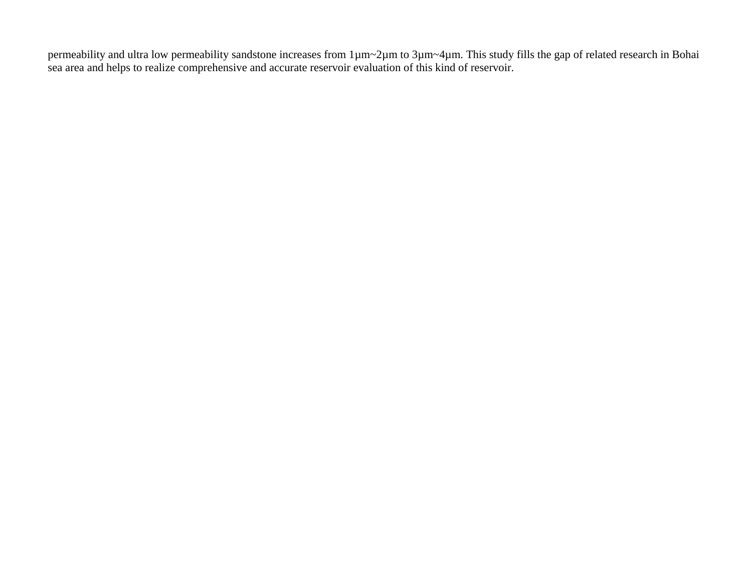permeability and ultra low permeability sandstone increases from 1µm~2µm to 3µm~4µm. This study fills the gap of related research in Bohai sea area and helps to realize comprehensive and accurate reservoir evaluation of this kind of reservoir.